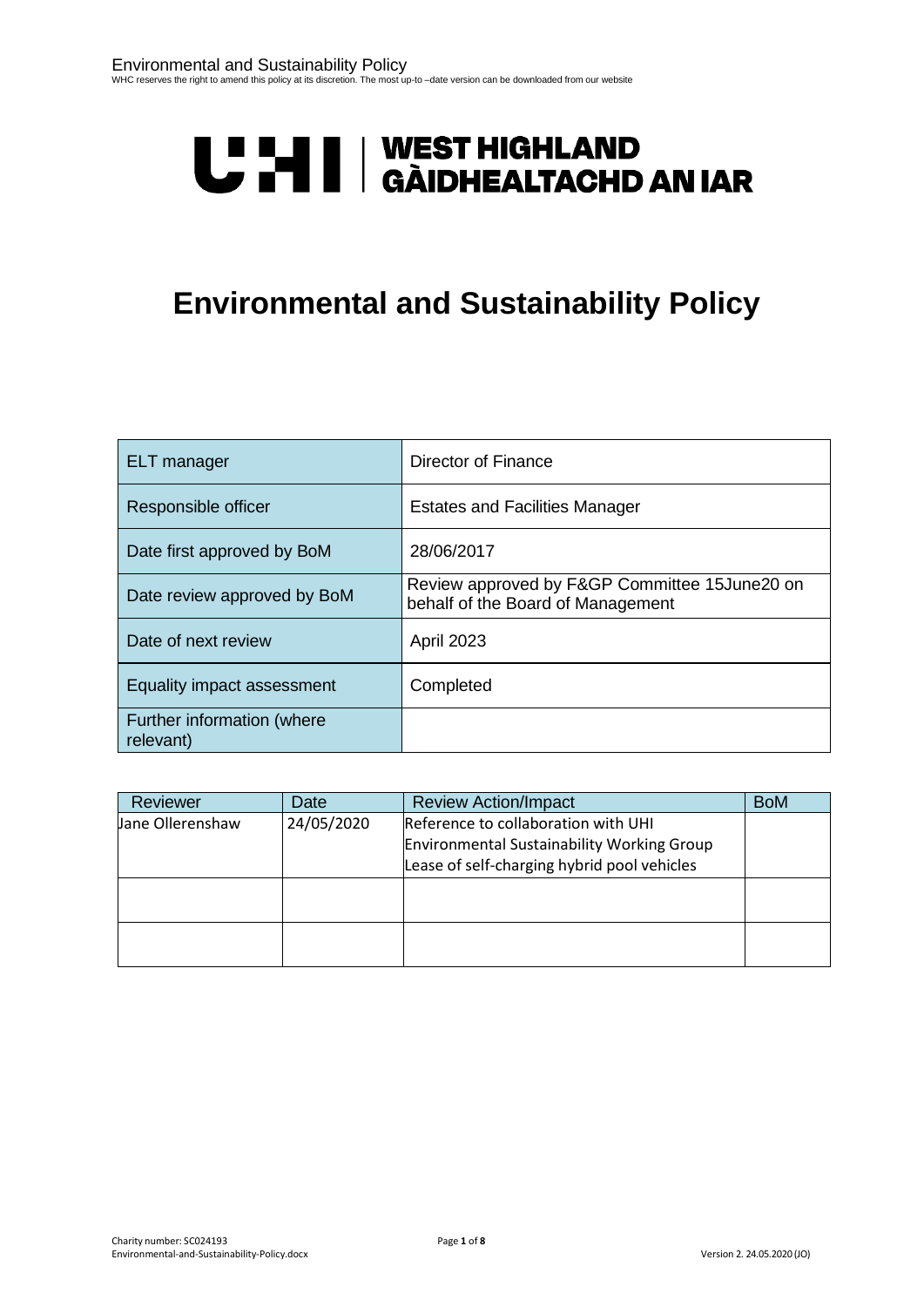# **U LI II | WEST HIGHLAND<br>U LI | GÀIDHEALTACHD AN IAR**

# **Environmental and Sustainability Policy**

| <b>ELT</b> manager                      | Director of Finance                                                                |
|-----------------------------------------|------------------------------------------------------------------------------------|
| Responsible officer                     | <b>Estates and Facilities Manager</b>                                              |
| Date first approved by BoM              | 28/06/2017                                                                         |
| Date review approved by BoM             | Review approved by F&GP Committee 15June20 on<br>behalf of the Board of Management |
| Date of next review                     | <b>April 2023</b>                                                                  |
| Equality impact assessment              | Completed                                                                          |
| Further information (where<br>relevant) |                                                                                    |

| Reviewer         | Date       | <b>Review Action/Impact</b>                                                                                                             | <b>BoM</b> |
|------------------|------------|-----------------------------------------------------------------------------------------------------------------------------------------|------------|
| Jane Ollerenshaw | 24/05/2020 | Reference to collaboration with UHI<br><b>Environmental Sustainability Working Group</b><br>Lease of self-charging hybrid pool vehicles |            |
|                  |            |                                                                                                                                         |            |
|                  |            |                                                                                                                                         |            |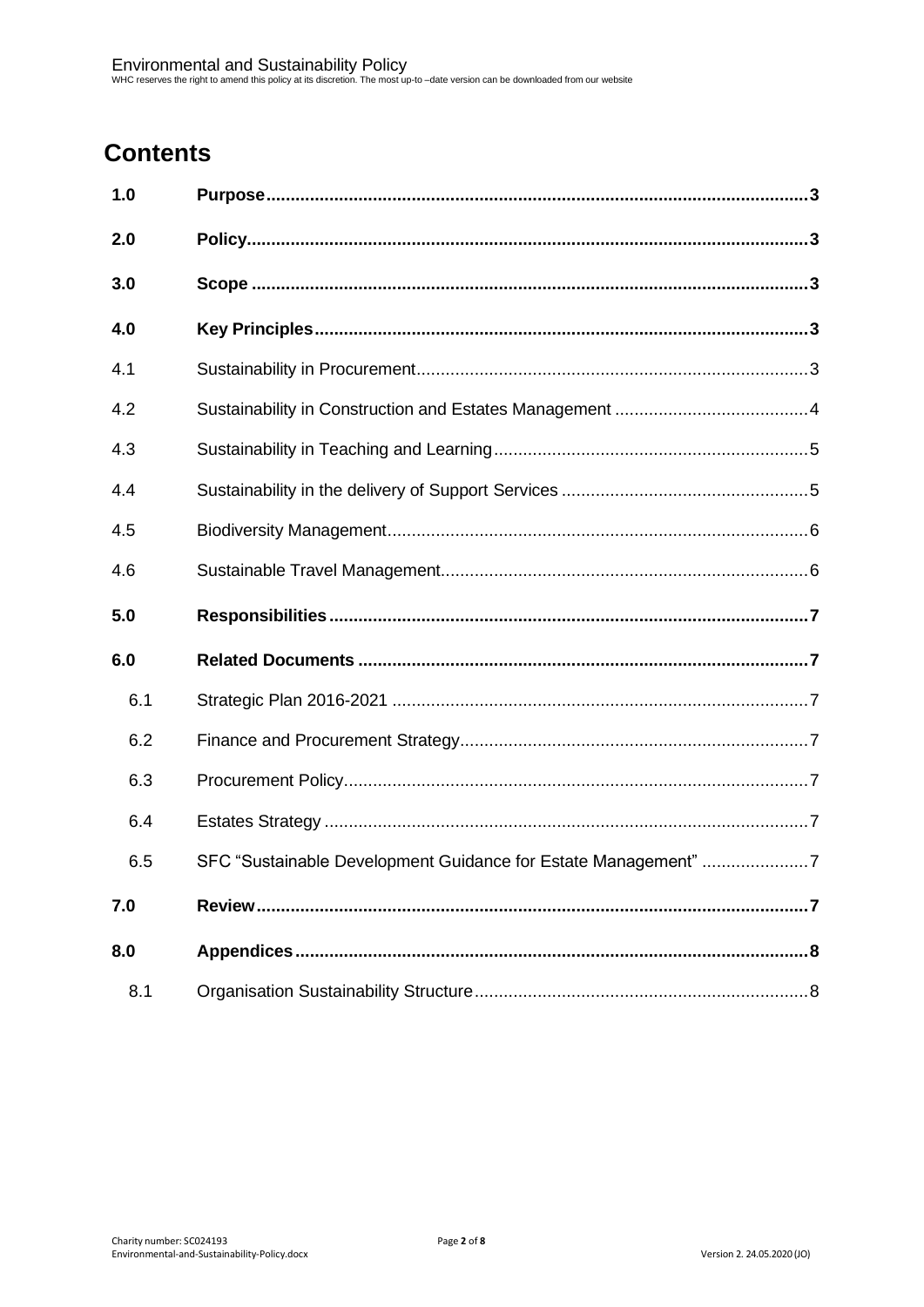# **Contents**

| 1.0 |                                                                |  |
|-----|----------------------------------------------------------------|--|
| 2.0 |                                                                |  |
| 3.0 |                                                                |  |
| 4.0 |                                                                |  |
| 4.1 |                                                                |  |
| 4.2 |                                                                |  |
| 4.3 |                                                                |  |
| 4.4 |                                                                |  |
| 4.5 |                                                                |  |
| 4.6 |                                                                |  |
|     |                                                                |  |
| 5.0 |                                                                |  |
| 6.0 |                                                                |  |
| 6.1 |                                                                |  |
| 6.2 |                                                                |  |
| 6.3 |                                                                |  |
| 6.4 |                                                                |  |
| 6.5 | SFC "Sustainable Development Guidance for Estate Management" 7 |  |
| 7.0 |                                                                |  |
| 8.0 |                                                                |  |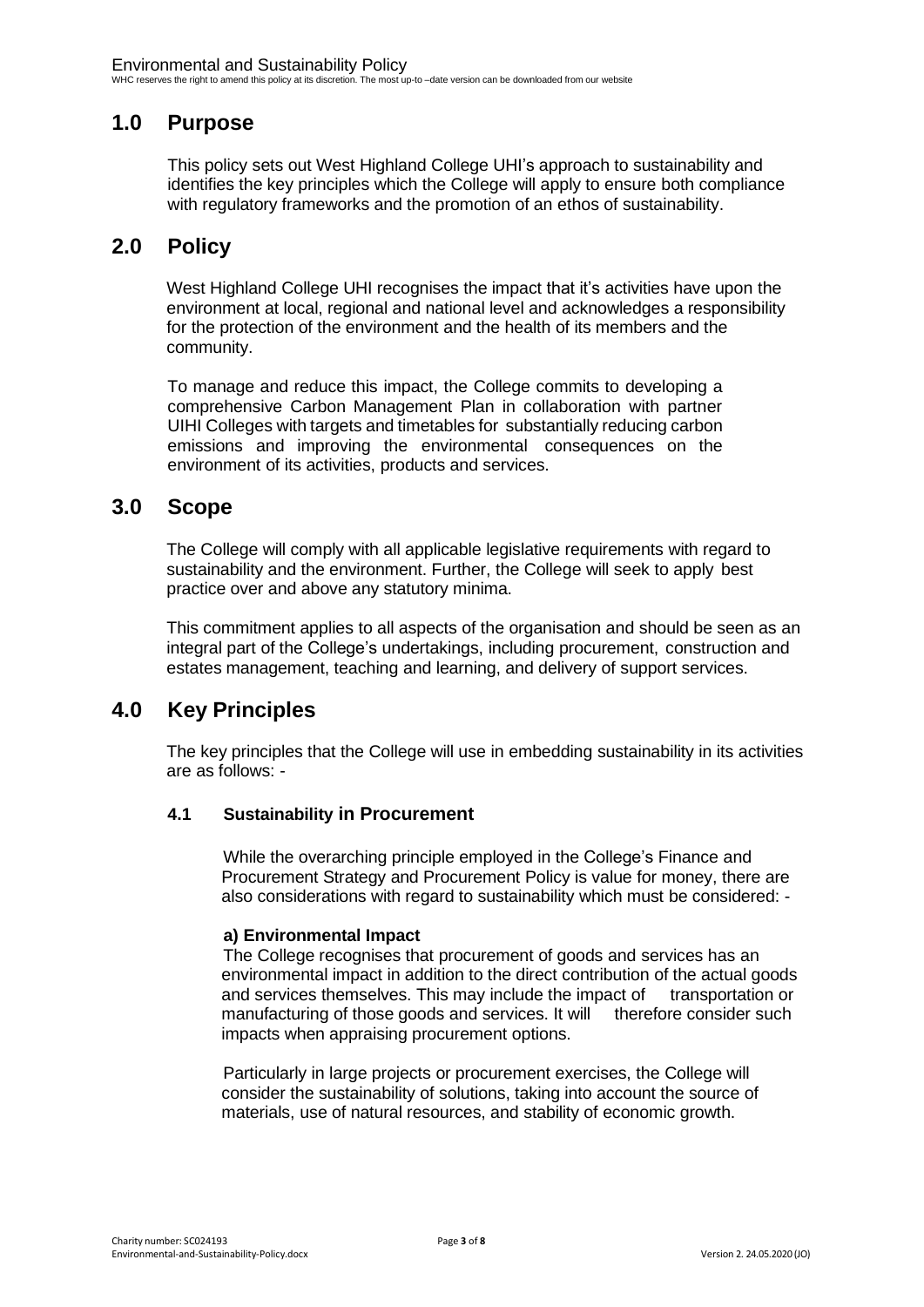# <span id="page-2-0"></span>**1.0 Purpose**

This policy sets out West Highland College UHI's approach to sustainability and identifies the key principles which the College will apply to ensure both compliance with regulatory frameworks and the promotion of an ethos of sustainability.

### <span id="page-2-1"></span>**2.0 Policy**

West Highland College UHI recognises the impact that it's activities have upon the environment at local, regional and national level and acknowledges a responsibility for the protection of the environment and the health of its members and the community.

To manage and reduce this impact, the College commits to developing a comprehensive Carbon Management Plan in collaboration with partner UIHI Colleges with targets and timetables for substantially reducing carbon emissions and improving the environmental consequences on the environment of its activities, products and services.

#### <span id="page-2-2"></span>**3.0 Scope**

The College will comply with all applicable legislative requirements with regard to sustainability and the environment. Further, the College will seek to apply best practice over and above any statutory minima.

This commitment applies to all aspects of the organisation and should be seen as an integral part of the College's undertakings, including procurement, construction and estates management, teaching and learning, and delivery of support services.

## <span id="page-2-3"></span>**4.0 Key Principles**

The key principles that the College will use in embedding sustainability in its activities are as follows: -

#### <span id="page-2-4"></span>**4.1 Sustainability in Procurement**

While the overarching principle employed in the College's Finance and Procurement Strategy and Procurement Policy is value for money, there are also considerations with regard to sustainability which must be considered: -

#### **a) Environmental Impact**

The College recognises that procurement of goods and services has an environmental impact in addition to the direct contribution of the actual goods and services themselves. This may include the impact of transportation or manufacturing of those goods and services. It will therefore consider such impacts when appraising procurement options.

Particularly in large projects or procurement exercises, the College will consider the sustainability of solutions, taking into account the source of materials, use of natural resources, and stability of economic growth.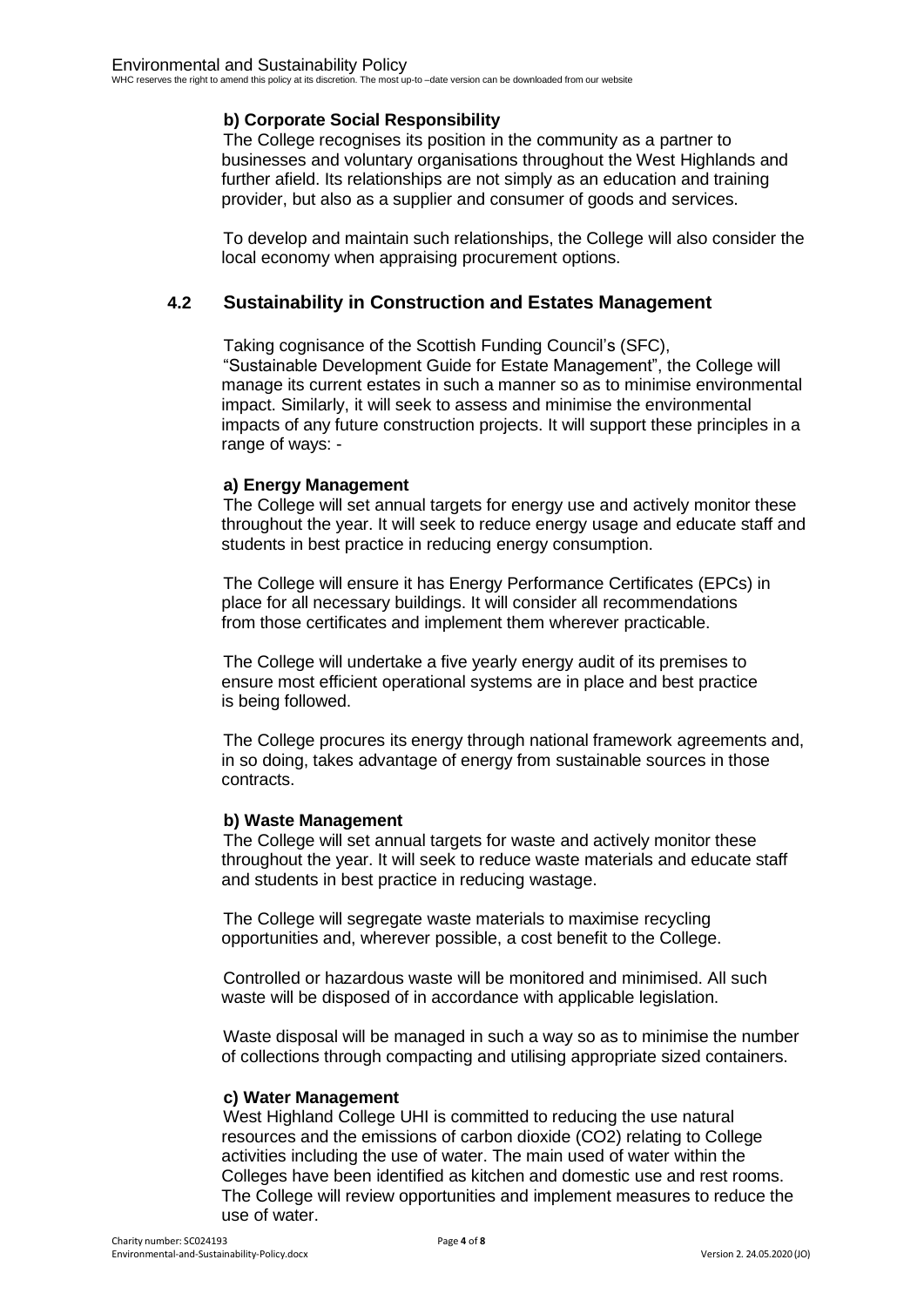#### **b) Corporate Social Responsibility**

The College recognises its position in the community as a partner to businesses and voluntary organisations throughout the West Highlands and further afield. Its relationships are not simply as an education and training provider, but also as a supplier and consumer of goods and services.

To develop and maintain such relationships, the College will also consider the local economy when appraising procurement options.

#### <span id="page-3-0"></span>**4.2 Sustainability in Construction and Estates Management**

Taking cognisance of the Scottish Funding Council's (SFC), "Sustainable Development Guide for Estate Management", the College will manage its current estates in such a manner so as to minimise environmental impact. Similarly, it will seek to assess and minimise the environmental impacts of any future construction projects. It will support these principles in a range of ways: -

#### **a) Energy Management**

The College will set annual targets for energy use and actively monitor these throughout the year. It will seek to reduce energy usage and educate staff and students in best practice in reducing energy consumption.

The College will ensure it has Energy Performance Certificates (EPCs) in place for all necessary buildings. It will consider all recommendations from those certificates and implement them wherever practicable.

The College will undertake a five yearly energy audit of its premises to ensure most efficient operational systems are in place and best practice is being followed.

The College procures its energy through national framework agreements and, in so doing, takes advantage of energy from sustainable sources in those contracts.

#### **b) Waste Management**

The College will set annual targets for waste and actively monitor these throughout the year. It will seek to reduce waste materials and educate staff and students in best practice in reducing wastage.

The College will segregate waste materials to maximise recycling opportunities and, wherever possible, a cost benefit to the College.

Controlled or hazardous waste will be monitored and minimised. All such waste will be disposed of in accordance with applicable legislation.

Waste disposal will be managed in such a way so as to minimise the number of collections through compacting and utilising appropriate sized containers.

#### **c) Water Management**

West Highland College UHI is committed to reducing the use natural resources and the emissions of carbon dioxide (CO2) relating to College activities including the use of water. The main used of water within the Colleges have been identified as kitchen and domestic use and rest rooms. The College will review opportunities and implement measures to reduce the use of water.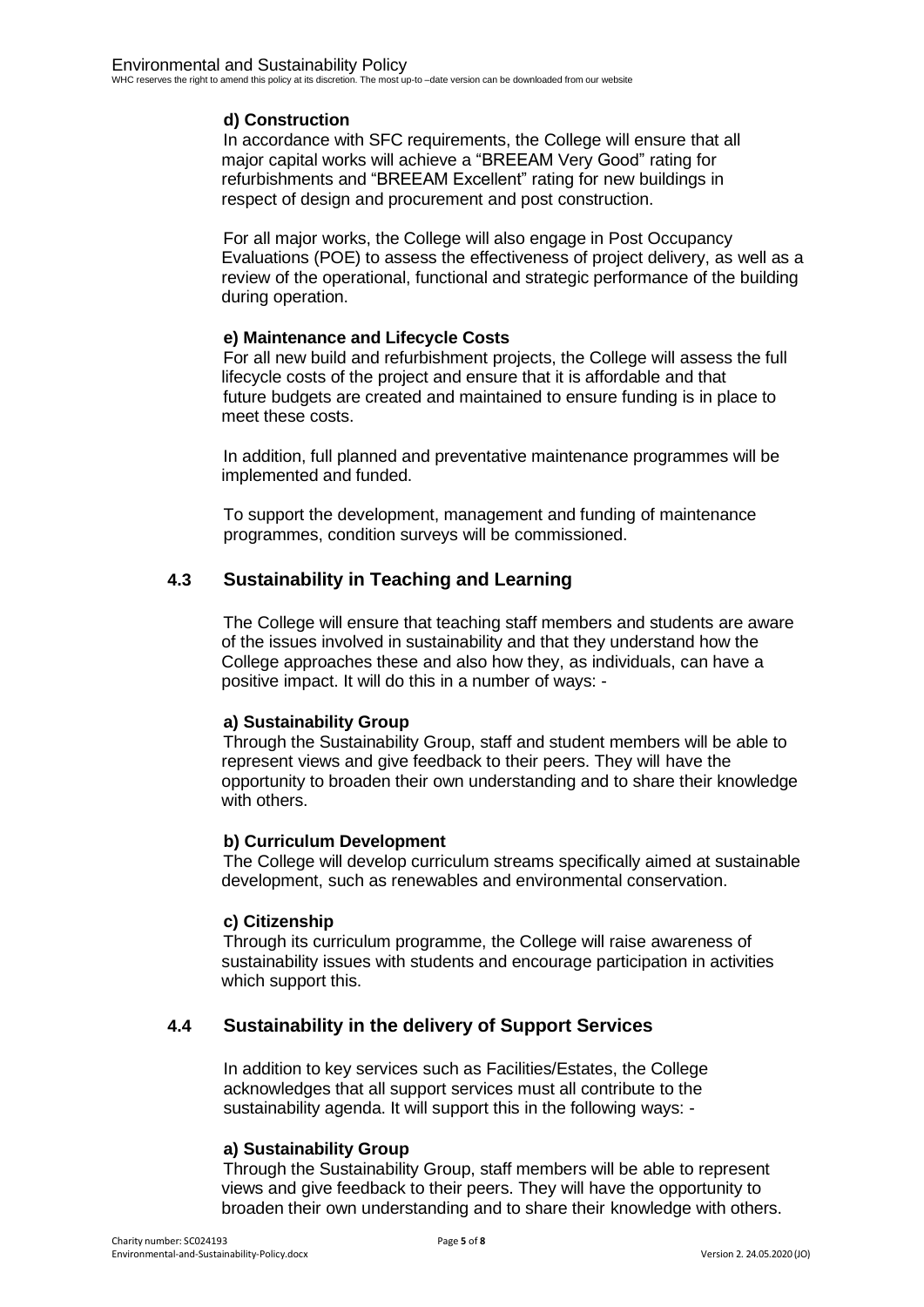#### **d) Construction**

In accordance with SFC requirements, the College will ensure that all major capital works will achieve a "BREEAM Very Good" rating for refurbishments and "BREEAM Excellent" rating for new buildings in respect of design and procurement and post construction.

For all major works, the College will also engage in Post Occupancy Evaluations (POE) to assess the effectiveness of project delivery, as well as a review of the operational, functional and strategic performance of the building during operation.

#### **e) Maintenance and Lifecycle Costs**

For all new build and refurbishment projects, the College will assess the full lifecycle costs of the project and ensure that it is affordable and that future budgets are created and maintained to ensure funding is in place to meet these costs.

In addition, full planned and preventative maintenance programmes will be implemented and funded.

To support the development, management and funding of maintenance programmes, condition surveys will be commissioned.

#### <span id="page-4-0"></span>**4.3 Sustainability in Teaching and Learning**

The College will ensure that teaching staff members and students are aware of the issues involved in sustainability and that they understand how the College approaches these and also how they, as individuals, can have a positive impact. It will do this in a number of ways: -

#### **a) Sustainability Group**

Through the Sustainability Group, staff and student members will be able to represent views and give feedback to their peers. They will have the opportunity to broaden their own understanding and to share their knowledge with others.

#### **b) Curriculum Development**

The College will develop curriculum streams specifically aimed at sustainable development, such as renewables and environmental conservation.

#### **c) Citizenship**

Through its curriculum programme, the College will raise awareness of sustainability issues with students and encourage participation in activities which support this.

#### <span id="page-4-1"></span>**4.4 Sustainability in the delivery of Support Services**

In addition to key services such as Facilities/Estates, the College acknowledges that all support services must all contribute to the sustainability agenda. It will support this in the following ways: -

#### **a) Sustainability Group**

Through the Sustainability Group, staff members will be able to represent views and give feedback to their peers. They will have the opportunity to broaden their own understanding and to share their knowledge with others.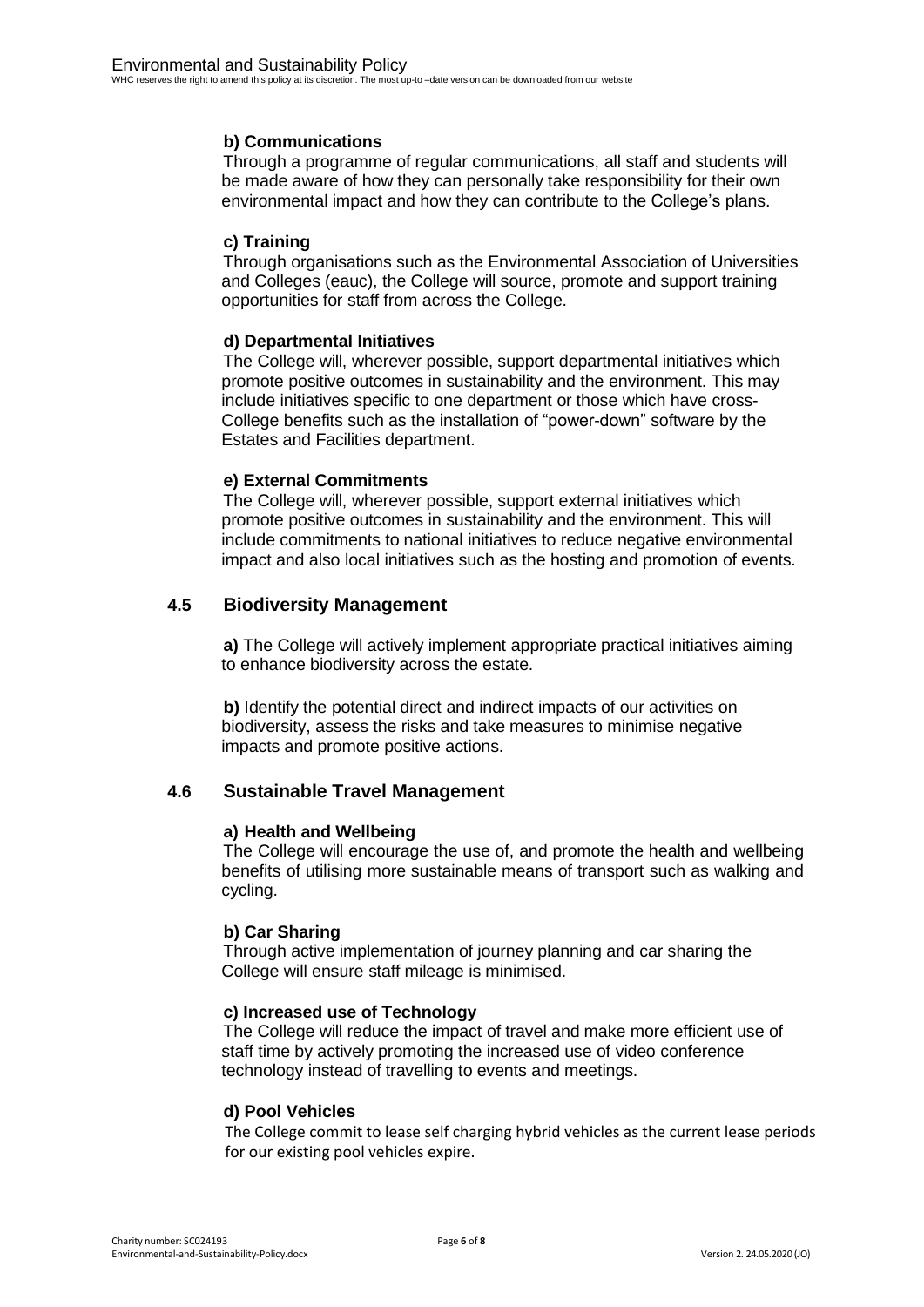#### **b) Communications**

Through a programme of regular communications, all staff and students will be made aware of how they can personally take responsibility for their own environmental impact and how they can contribute to the College's plans.

#### **c) Training**

Through organisations such as the Environmental Association of Universities and Colleges (eauc), the College will source, promote and support training opportunities for staff from across the College.

#### **d) Departmental Initiatives**

The College will, wherever possible, support departmental initiatives which promote positive outcomes in sustainability and the environment. This may include initiatives specific to one department or those which have cross-College benefits such as the installation of "power-down" software by the Estates and Facilities department.

#### **e) External Commitments**

The College will, wherever possible, support external initiatives which promote positive outcomes in sustainability and the environment. This will include commitments to national initiatives to reduce negative environmental impact and also local initiatives such as the hosting and promotion of events.

#### <span id="page-5-0"></span>**4.5 Biodiversity Management**

**a)** The College will actively implement appropriate practical initiatives aiming to enhance biodiversity across the estate.

**b)** Identify the potential direct and indirect impacts of our activities on biodiversity, assess the risks and take measures to minimise negative impacts and promote positive actions.

#### <span id="page-5-1"></span>**4.6 Sustainable Travel Management**

#### **a) Health and Wellbeing**

The College will encourage the use of, and promote the health and wellbeing benefits of utilising more sustainable means of transport such as walking and cycling.

#### **b) Car Sharing**

Through active implementation of journey planning and car sharing the College will ensure staff mileage is minimised.

#### **c) Increased use of Technology**

The College will reduce the impact of travel and make more efficient use of staff time by actively promoting the increased use of video conference technology instead of travelling to events and meetings.

#### **d) Pool Vehicles**

The College commit to lease self charging hybrid vehicles as the current lease periods for our existing pool vehicles expire.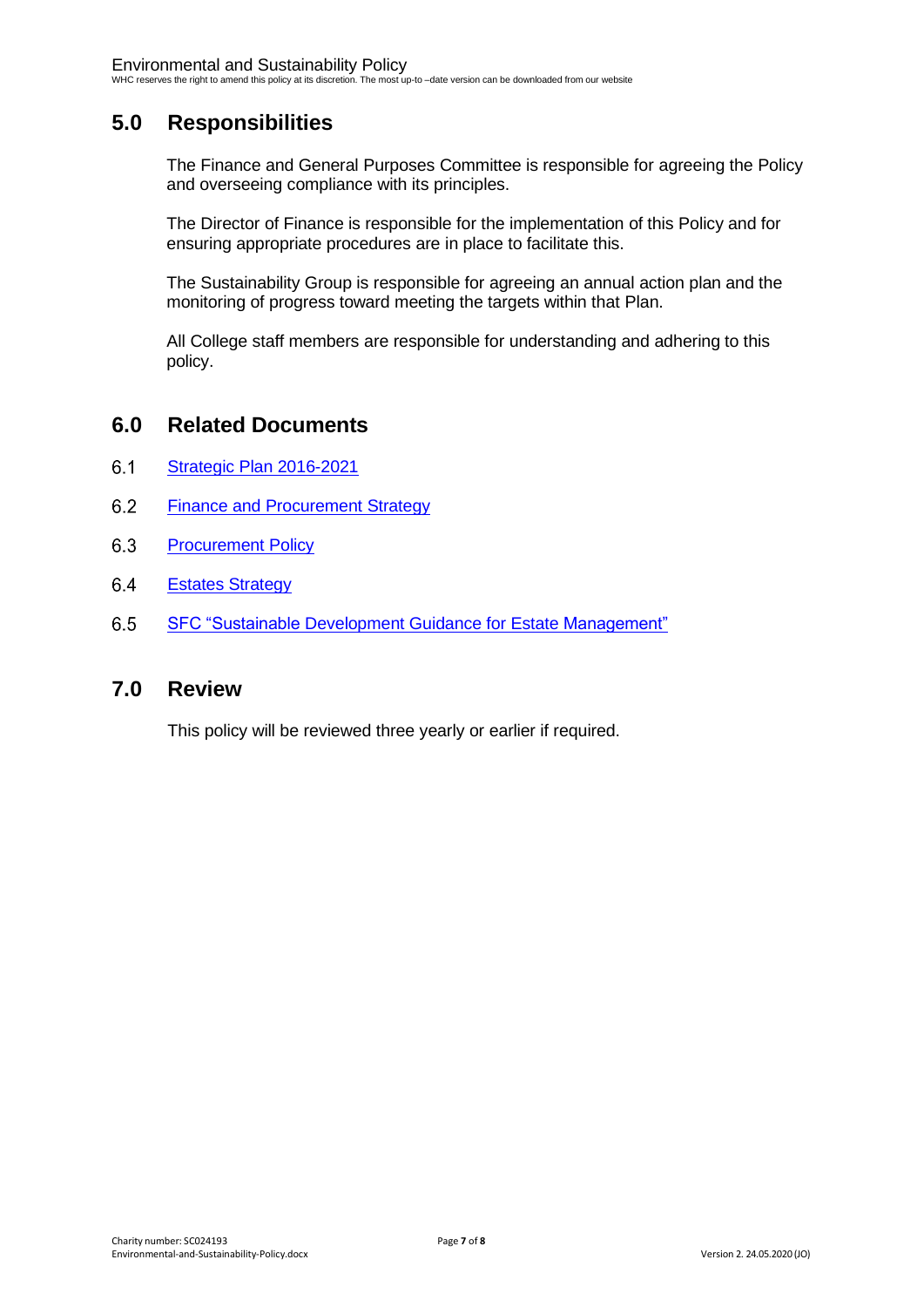# <span id="page-6-0"></span>**5.0 Responsibilities**

The Finance and General Purposes Committee is responsible for agreeing the Policy and overseeing compliance with its principles.

The Director of Finance is responsible for the implementation of this Policy and for ensuring appropriate procedures are in place to facilitate this.

The Sustainability Group is responsible for agreeing an annual action plan and the monitoring of progress toward meeting the targets within that Plan.

All College staff members are responsible for understanding and adhering to this policy.

#### <span id="page-6-1"></span>**6.0 Related Documents**

- <span id="page-6-2"></span> $6.1$ [Strategic Plan](https://www.whc.uhi.ac.uk/t4-media/one-web/west-highland/about-us/strategic-planning/whc-strategic-plan-2016-2021-refresh.pdf) 2016-2021
- <span id="page-6-3"></span> $6.2$ Finance and [Procurement](http://staff.whc.uhi.ac.uk/Downloads/Board/Strategies/Procurement_strategy.pdf) Strategy
- <span id="page-6-4"></span>6.3 **[Procurement Policy](http://staff.whc.uhi.ac.uk/Downloads/All-Policies/Procurement-Policy.pdf)**
- <span id="page-6-5"></span>6.4 **Estates [Strategy](http://staff.whc.uhi.ac.uk/Downloads/Board/Strategies/WHC_Estates_Strategy.pdf)**
- <span id="page-6-6"></span>6.5 SFC "Sustainable [Development Guidance](http://www.sfc.ac.uk/governance/sustainability/environmental-sustainability-guidance.aspx) for Estate Management"

#### <span id="page-6-7"></span>**7.0 Review**

This policy will be reviewed three yearly or earlier if required.